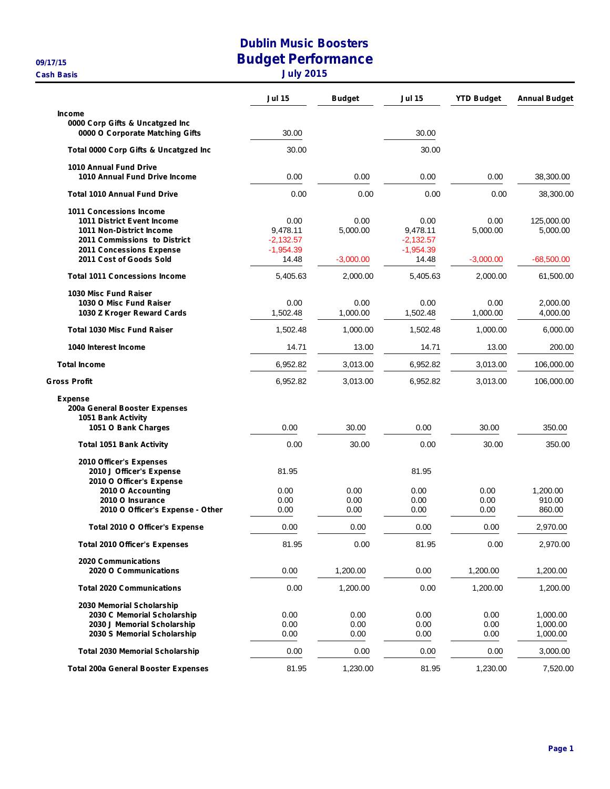**Cash Basis July 2015**

## **Dublin Music Boosters 09/17/15 Budget Performance**

|  |  |  | Julv 2015 |  |  |  |
|--|--|--|-----------|--|--|--|
|--|--|--|-----------|--|--|--|

|                                            | <b>Jul 15</b> | <b>Budget</b> | <b>Jul 15</b> | <b>YTD Budget</b> | <b>Annual Budget</b> |
|--------------------------------------------|---------------|---------------|---------------|-------------------|----------------------|
| <b>Income</b>                              |               |               |               |                   |                      |
| 0000 Corp Gifts & Uncatgzed Inc            |               |               |               |                   |                      |
| 0000 O Corporate Matching Gifts            | 30.00         |               | 30.00         |                   |                      |
| Total 0000 Corp Gifts & Uncatgzed Inc      | 30.00         |               | 30.00         |                   |                      |
| 1010 Annual Fund Drive                     |               |               |               |                   |                      |
| 1010 Annual Fund Drive Income              | 0.00          | 0.00          | 0.00          | 0.00              | 38,300.00            |
| <b>Total 1010 Annual Fund Drive</b>        | 0.00          | 0.00          | 0.00          | 0.00              | 38,300.00            |
| 1011 Concessions Income                    |               |               |               |                   |                      |
| 1011 District Event Income                 | 0.00          | 0.00          | 0.00          | 0.00              | 125.000.00           |
| 1011 Non-District Income                   | 9,478.11      | 5,000.00      | 9,478.11      | 5,000.00          | 5,000.00             |
| 2011 Commissions to District               | $-2,132.57$   |               | $-2,132.57$   |                   |                      |
| 2011 Concessions Expense                   | $-1,954.39$   |               | $-1,954.39$   |                   |                      |
| 2011 Cost of Goods Sold                    | 14.48         | $-3,000.00$   | 14.48         | $-3,000.00$       | $-68,500.00$         |
| <b>Total 1011 Concessions Income</b>       | 5,405.63      | 2,000.00      | 5,405.63      | 2,000.00          | 61,500.00            |
| 1030 Misc Fund Raiser                      |               |               |               |                   |                      |
| 1030 O Misc Fund Raiser                    | 0.00          | 0.00          | 0.00          | 0.00              | 2,000.00             |
| 1030 Z Kroger Reward Cards                 | 1,502.48      | 1,000.00      | 1,502.48      | 1,000.00          | 4,000.00             |
| <b>Total 1030 Misc Fund Raiser</b>         | 1,502.48      | 1,000.00      | 1,502.48      | 1,000.00          | 6,000.00             |
| 1040 Interest Income                       | 14.71         | 13.00         | 14.71         | 13.00             | 200.00               |
| <b>Total Income</b>                        | 6,952.82      | 3,013.00      | 6,952.82      | 3,013.00          | 106,000.00           |
| <b>Gross Profit</b>                        | 6,952.82      | 3,013.00      | 6,952.82      | 3,013.00          | 106,000.00           |
| <b>Expense</b>                             |               |               |               |                   |                      |
| 200a General Booster Expenses              |               |               |               |                   |                      |
| 1051 Bank Activity                         |               |               |               |                   |                      |
| 1051 O Bank Charges                        | 0.00          | 30.00         | 0.00          | 30.00             | 350.00               |
| <b>Total 1051 Bank Activity</b>            | 0.00          | 30.00         | 0.00          | 30.00             | 350.00               |
| 2010 Officer's Expenses                    |               |               |               |                   |                      |
| 2010 J Officer's Expense                   | 81.95         |               | 81.95         |                   |                      |
| 2010 O Officer's Expense                   |               |               |               |                   |                      |
| 2010 O Accounting                          | 0.00          | 0.00          | 0.00          | 0.00              | 1,200.00             |
| 2010 O Insurance                           | 0.00          | 0.00          | 0.00          | 0.00              | 910.00               |
| 2010 O Officer's Expense - Other           | 0.00          | 0.00          | 0.00          | 0.00              | 860.00               |
| Total 2010 O Officer's Expense             | 0.00          | 0.00          | 0.00          | 0.00              | 2,970.00             |
| <b>Total 2010 Officer's Expenses</b>       | 81.95         | 0.00          | 81.95         | 0.00              | 2,970.00             |
| <b>2020 Communications</b>                 |               |               |               |                   |                      |
| 2020 O Communications                      | 0.00          | 1,200.00      | 0.00          | 1,200.00          | 1,200.00             |
| <b>Total 2020 Communications</b>           | 0.00          | 1,200.00      | 0.00          | 1,200.00          | 1,200.00             |
| 2030 Memorial Scholarship                  |               |               |               |                   |                      |
| 2030 C Memorial Scholarship                | 0.00          | 0.00          | 0.00          | 0.00              | 1,000.00             |
| 2030 J Memorial Scholarship                | 0.00          | 0.00          | 0.00          | 0.00              | 1,000.00             |
| 2030 S Memorial Scholarship                | 0.00          | 0.00          | 0.00          | 0.00              | 1,000.00             |
| <b>Total 2030 Memorial Scholarship</b>     | 0.00          | 0.00          | 0.00          | 0.00              | 3,000.00             |
| <b>Total 200a General Booster Expenses</b> | 81.95         | 1,230.00      | 81.95         | 1,230.00          | 7,520.00             |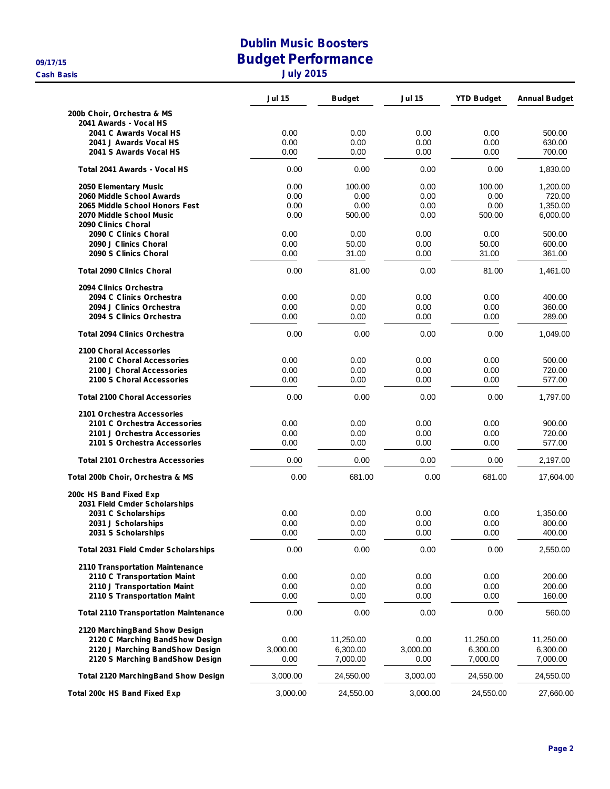## **Dublin Music Boosters 09/17/15 Budget Performance Cash Basis Cash Basis July** 2015

|                                                                    | <b>Jul 15</b>    | <b>Budget</b>        | Jul 15           | <b>YTD Budget</b>    | <b>Annual Budget</b> |
|--------------------------------------------------------------------|------------------|----------------------|------------------|----------------------|----------------------|
| 200b Choir, Orchestra & MS                                         |                  |                      |                  |                      |                      |
| 2041 Awards - Vocal HS                                             |                  |                      |                  |                      |                      |
| 2041 C Awards Vocal HS                                             | 0.00             | 0.00                 | 0.00             | 0.00                 | 500.00               |
| 2041 J Awards Vocal HS                                             | 0.00             | 0.00                 | 0.00             | 0.00                 | 630.00               |
| 2041 S Awards Vocal HS                                             | 0.00             | 0.00                 | 0.00             | 0.00                 | 700.00               |
| Total 2041 Awards - Vocal HS                                       | 0.00             | 0.00                 | 0.00             | 0.00                 | 1,830.00             |
| 2050 Elementary Music                                              | 0.00             | 100.00               | 0.00             | 100.00               | 1,200.00             |
| 2060 Middle School Awards                                          | 0.00             | 0.00                 | 0.00             | 0.00                 | 720.00               |
| 2065 Middle School Honors Fest                                     | 0.00             | 0.00                 | 0.00             | 0.00                 | 1,350.00             |
| 2070 Middle School Music<br>2090 Clinics Choral                    | 0.00             | 500.00               | 0.00             | 500.00               | 6,000.00             |
| 2090 C Clinics Choral                                              | 0.00             | 0.00                 | 0.00             | 0.00                 | 500.00               |
| 2090 J Clinics Choral                                              | 0.00             | 50.00                | 0.00             | 50.00                | 600.00               |
| 2090 S Clinics Choral                                              | 0.00             | 31.00                | 0.00             | 31.00                | 361.00               |
| <b>Total 2090 Clinics Choral</b>                                   | 0.00             | 81.00                | 0.00             | 81.00                | 1,461.00             |
| 2094 Clinics Orchestra                                             |                  |                      |                  |                      |                      |
| 2094 C Clinics Orchestra                                           | 0.00             | 0.00                 | 0.00             | 0.00                 | 400.00               |
| 2094 J Clinics Orchestra                                           | 0.00             | 0.00                 | 0.00             | 0.00                 | 360.00               |
| 2094 S Clinics Orchestra                                           | 0.00             | 0.00                 | 0.00             | 0.00                 | 289.00               |
| <b>Total 2094 Clinics Orchestra</b>                                | 0.00             | 0.00                 | 0.00             | 0.00                 | 1,049.00             |
| 2100 Choral Accessories                                            |                  |                      |                  |                      |                      |
| 2100 C Choral Accessories                                          | 0.00             | 0.00                 | 0.00             | 0.00                 | 500.00               |
| 2100 J Choral Accessories                                          | 0.00             | 0.00                 | 0.00             | 0.00                 | 720.00               |
| 2100 S Choral Accessories                                          | 0.00             | 0.00                 | 0.00             | 0.00                 | 577.00               |
| <b>Total 2100 Choral Accessories</b>                               | 0.00             | 0.00                 | 0.00             | 0.00                 | 1,797.00             |
| 2101 Orchestra Accessories                                         |                  |                      |                  |                      |                      |
| 2101 C Orchestra Accessories                                       | 0.00             | 0.00                 | 0.00             | 0.00                 | 900.00               |
| 2101 J Orchestra Accessories                                       | 0.00             | 0.00                 | 0.00             | 0.00                 | 720.00               |
| 2101 S Orchestra Accessories                                       | 0.00             | 0.00                 | 0.00             | 0.00                 | 577.00               |
| <b>Total 2101 Orchestra Accessories</b>                            | 0.00             | 0.00                 | 0.00             | 0.00                 | 2,197.00             |
| Total 200b Choir, Orchestra & MS                                   | 0.00             | 681.00               | 0.00             | 681.00               | 17,604.00            |
| 200c HS Band Fixed Exp                                             |                  |                      |                  |                      |                      |
| 2031 Field Cmder Scholarships                                      |                  |                      |                  |                      |                      |
| 2031 C Scholarships                                                | 0.00             | 0.00                 | 0.00             | 0.00                 | 1,350.00             |
| 2031 J Scholarships                                                | 0.00             | 0.00                 | 0.00             | 0.00                 | 800.00               |
| 2031 S Scholarships                                                | 0.00             | 0.00                 | 0.00             | 0.00                 | 400.00               |
| <b>Total 2031 Field Cmder Scholarships</b>                         | 0.00             | 0.00                 | 0.00             | 0.00                 | 2,550.00             |
| <b>2110 Transportation Maintenance</b>                             |                  |                      |                  |                      |                      |
| 2110 C Transportation Maint                                        | 0.00             | 0.00                 | 0.00             | 0.00                 | 200.00               |
| 2110 J Transportation Maint                                        | 0.00             | 0.00                 | 0.00             | 0.00                 | 200.00               |
| 2110 S Transportation Maint                                        | 0.00             | 0.00                 | 0.00             | 0.00                 | 160.00               |
| <b>Total 2110 Transportation Maintenance</b>                       | 0.00             | 0.00                 | 0.00             | 0.00                 | 560.00               |
| 2120 MarchingBand Show Design                                      |                  |                      |                  |                      |                      |
| 2120 C Marching BandShow Design                                    | 0.00             | 11,250.00            | 0.00             | 11,250.00            | 11,250.00            |
| 2120 J Marching BandShow Design<br>2120 S Marching BandShow Design | 3,000.00<br>0.00 | 6,300.00<br>7,000.00 | 3,000.00<br>0.00 | 6,300.00<br>7,000.00 | 6,300.00<br>7,000.00 |
| <b>Total 2120 MarchingBand Show Design</b>                         | 3,000.00         | 24,550.00            | 3,000.00         | 24,550.00            | 24,550.00            |
|                                                                    |                  |                      |                  |                      |                      |
| <b>Total 200c HS Band Fixed Exp</b>                                | 3,000.00         | 24,550.00            | 3,000.00         | 24,550.00            | 27,660.00            |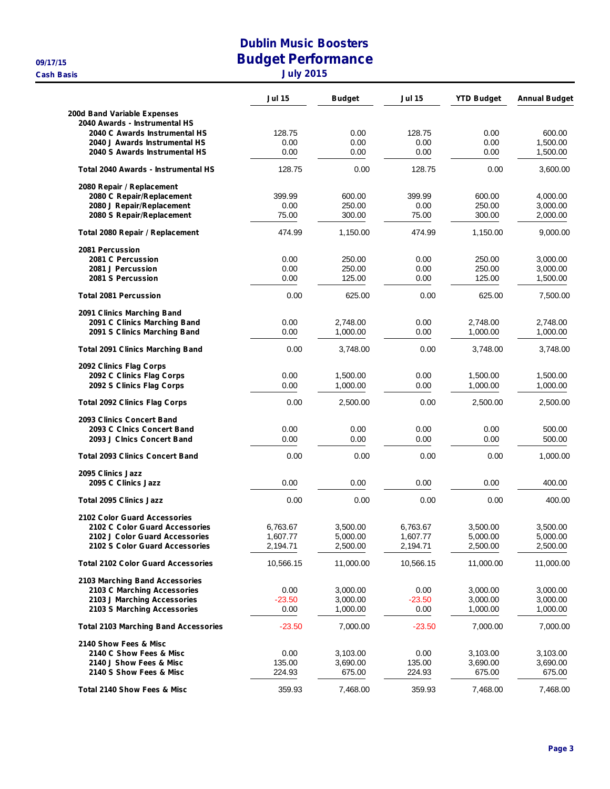**Cash Basis July 2015**

## **Dublin Music Boosters 09/17/15 Budget Performance**

| July 2015 |  |  |  |  |
|-----------|--|--|--|--|
|-----------|--|--|--|--|

|                                                                  | <b>Jul 15</b>        | <b>Budget</b>        | <b>Jul 15</b>        | <b>YTD Budget</b>    | <b>Annual Budget</b> |
|------------------------------------------------------------------|----------------------|----------------------|----------------------|----------------------|----------------------|
| 200d Band Variable Expenses                                      |                      |                      |                      |                      |                      |
| 2040 Awards - Instrumental HS                                    |                      |                      |                      |                      |                      |
| 2040 C Awards Instrumental HS                                    | 128.75               | 0.00<br>0.00         | 128.75               | 0.00                 | 600.00               |
| 2040 J Awards Instrumental HS<br>2040 S Awards Instrumental HS   | 0.00<br>0.00         | 0.00                 | 0.00<br>0.00         | 0.00<br>0.00         | 1,500.00<br>1,500.00 |
|                                                                  |                      |                      |                      |                      |                      |
| Total 2040 Awards - Instrumental HS                              | 128.75               | 0.00                 | 128.75               | 0.00                 | 3,600.00             |
| 2080 Repair / Replacement<br>2080 C Repair/Replacement           | 399.99               | 600.00               | 399.99               | 600.00               | 4,000.00             |
| 2080 J Repair/Replacement                                        | 0.00                 | 250.00               | 0.00                 | 250.00               | 3,000.00             |
| 2080 S Repair/Replacement                                        | 75.00                | 300.00               | 75.00                | 300.00               | 2,000.00             |
| Total 2080 Repair / Replacement                                  | 474.99               | 1,150.00             | 474.99               | 1,150.00             | 9,000.00             |
| 2081 Percussion                                                  |                      |                      |                      |                      |                      |
| 2081 C Percussion                                                | 0.00                 | 250.00               | 0.00                 | 250.00               | 3,000.00             |
| 2081 J Percussion                                                | 0.00                 | 250.00               | 0.00                 | 250.00               | 3,000.00             |
| 2081 S Percussion                                                | 0.00                 | 125.00               | 0.00                 | 125.00               | 1,500.00             |
| <b>Total 2081 Percussion</b>                                     | 0.00                 | 625.00               | 0.00                 | 625.00               | 7,500.00             |
| 2091 Clinics Marching Band                                       |                      |                      |                      |                      |                      |
| 2091 C Clinics Marching Band                                     | 0.00                 | 2,748.00             | 0.00                 | 2,748.00             | 2,748.00             |
| 2091 S Clinics Marching Band                                     | 0.00                 | 1,000.00             | 0.00                 | 1,000.00             | 1,000.00             |
| <b>Total 2091 Clinics Marching Band</b>                          | 0.00                 | 3,748.00             | 0.00                 | 3,748.00             | 3,748.00             |
| 2092 Clinics Flag Corps                                          |                      |                      |                      |                      |                      |
| 2092 C Clinics Flag Corps                                        | 0.00                 | 1,500.00             | 0.00                 | 1,500.00             | 1,500.00             |
| 2092 S Clinics Flag Corps                                        | 0.00                 | 1,000.00             | 0.00                 | 1,000.00             | 1,000.00             |
| <b>Total 2092 Clinics Flag Corps</b>                             | 0.00                 | 2,500.00             | 0.00                 | 2,500.00             | 2,500.00             |
| 2093 Clinics Concert Band                                        |                      |                      |                      |                      |                      |
| 2093 C Clnics Concert Band                                       | 0.00                 | 0.00                 | 0.00                 | 0.00                 | 500.00               |
| 2093 J Clnics Concert Band                                       | 0.00                 | 0.00                 | 0.00                 | 0.00                 | 500.00               |
| <b>Total 2093 Clinics Concert Band</b>                           | 0.00                 | 0.00                 | 0.00                 | 0.00                 | 1,000.00             |
| 2095 Clinics Jazz                                                |                      |                      |                      |                      |                      |
| 2095 C Clinics Jazz                                              | 0.00                 | 0.00                 | 0.00                 | 0.00                 | 400.00               |
| <b>Total 2095 Clinics Jazz</b>                                   | 0.00                 | 0.00                 | 0.00                 | 0.00                 | 400.00               |
| 2102 Color Guard Accessories                                     |                      |                      |                      |                      |                      |
| 2102 C Color Guard Accessories                                   | 6,763.67             | 3,500.00             | 6,763.67             | 3,500.00             | 3,500.00             |
| 2102 J Color Guard Accessories<br>2102 S Color Guard Accessories | 1,607.77<br>2,194.71 | 5,000.00<br>2,500.00 | 1,607.77<br>2,194.71 | 5,000.00<br>2,500.00 | 5,000.00<br>2,500.00 |
| <b>Total 2102 Color Guard Accessories</b>                        | 10,566.15            | 11,000.00            | 10,566.15            | 11,000.00            | 11,000.00            |
|                                                                  |                      |                      |                      |                      |                      |
| 2103 Marching Band Accessories<br>2103 C Marching Accessories    | 0.00                 | 3,000.00             | 0.00                 | 3,000.00             | 3,000.00             |
| 2103 J Marching Accessories                                      | $-23.50$             | 3,000.00             | $-23.50$             | 3.000.00             | 3,000.00             |
| 2103 S Marching Accessories                                      | 0.00                 | 1,000.00             | 0.00                 | 1,000.00             | 1,000.00             |
| <b>Total 2103 Marching Band Accessories</b>                      | $-23.50$             | 7,000.00             | $-23.50$             | 7,000.00             | 7,000.00             |
| 2140 Show Fees & Misc                                            |                      |                      |                      |                      |                      |
| 2140 C Show Fees & Misc                                          | 0.00                 | 3,103.00             | 0.00                 | 3,103.00             | 3,103.00             |
| 2140 J Show Fees & Misc                                          | 135.00               | 3,690.00             | 135.00               | 3,690.00             | 3,690.00             |
| 2140 S Show Fees & Misc                                          | 224.93               | 675.00               | 224.93               | 675.00               | 675.00               |
| Total 2140 Show Fees & Misc                                      | 359.93               | 7,468.00             | 359.93               | 7,468.00             | 7,468.00             |